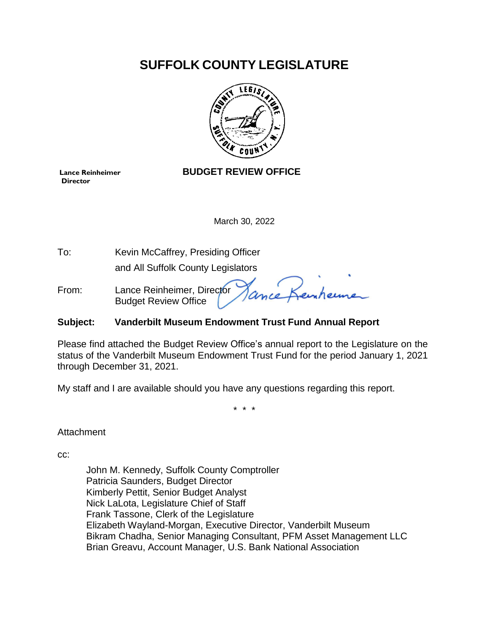## **SUFFOLK COUNTY LEGISLATURE**



## **Director**

#### **Lance Reinheimer BUDGET REVIEW OFFICE**

March 30, 2022

To: Kevin McCaffrey, Presiding Officer

and All Suffolk County Legislators

From: Lance Reinheimer, Director Budget Review Office

#### **Subject: Vanderbilt Museum Endowment Trust Fund Annual Report**

Please find attached the Budget Review Office's annual report to the Legislature on the status of the Vanderbilt Museum Endowment Trust Fund for the period January 1, 2021 through December 31, 2021.

My staff and I are available should you have any questions regarding this report.

\* \* \*

Attachment

cc:

John M. Kennedy, Suffolk County Comptroller Patricia Saunders, Budget Director Kimberly Pettit, Senior Budget Analyst Nick LaLota, Legislature Chief of Staff Frank Tassone, Clerk of the Legislature Elizabeth Wayland-Morgan, Executive Director, Vanderbilt Museum Bikram Chadha, Senior Managing Consultant, PFM Asset Management LLC Brian Greavu, Account Manager, U.S. Bank National Association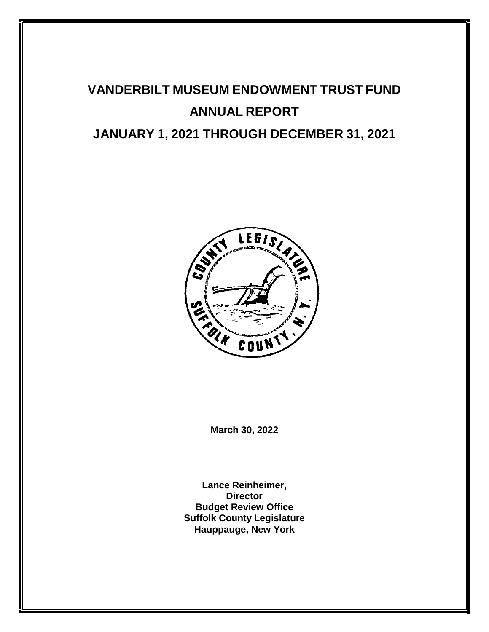# <span id="page-1-0"></span>**VANDERBILT MUSEUM ENDOWMENT TRUST FUND ANNUAL REPORT JANUARY 1, 2021 THROUGH DECEMBER 31, 2021**



**March 30, 2022**

**Lance Reinheimer, Director Budget Review Office Suffolk County Legislature Hauppauge, New York**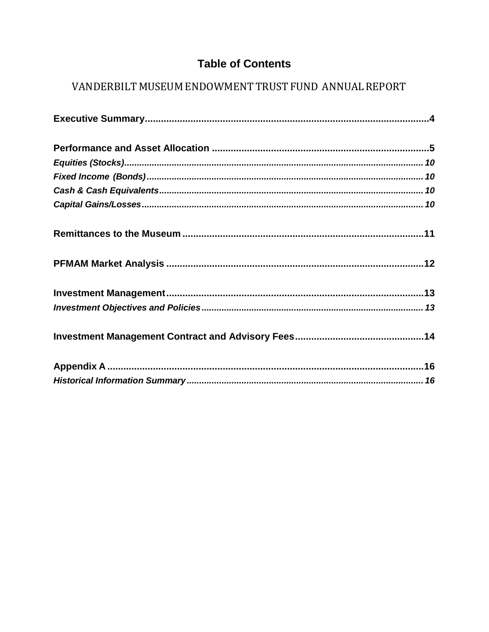### **Table of Contents**

## VANDERBILT MUSEUM ENDOWMENT TRUST FUND ANNUAL REPORT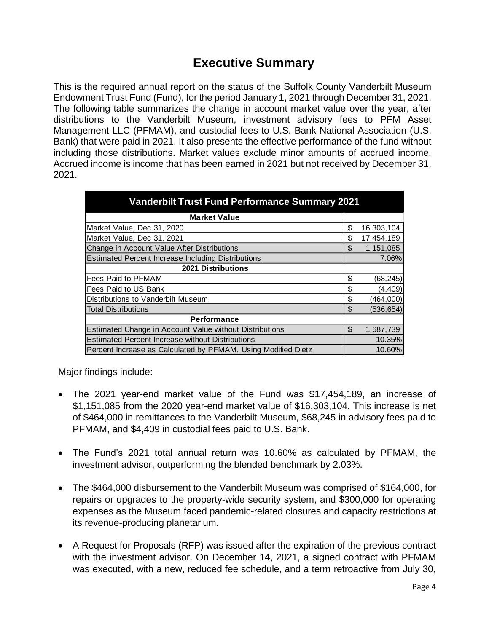## **Executive Summary**

<span id="page-3-0"></span>This is the required annual report on the status of the Suffolk County Vanderbilt Museum Endowment Trust Fund (Fund), for the period January 1, 2021 through December 31, 2021. The following table summarizes the change in account market value over the year, after distributions to the Vanderbilt Museum, investment advisory fees to PFM Asset Management LLC (PFMAM), and custodial fees to U.S. Bank National Association (U.S. Bank) that were paid in 2021. It also presents the effective performance of the fund without including those distributions. Market values exclude minor amounts of accrued income. Accrued income is income that has been earned in 2021 but not received by December 31, 2021.

| <b>Vanderbilt Trust Fund Performance Summary 2021</b>         |    |            |  |
|---------------------------------------------------------------|----|------------|--|
| <b>Market Value</b>                                           |    |            |  |
| Market Value, Dec 31, 2020                                    | \$ | 16,303,104 |  |
| Market Value, Dec 31, 2021                                    | \$ | 17,454,189 |  |
| Change in Account Value After Distributions                   | \$ | 1,151,085  |  |
| <b>Estimated Percent Increase Including Distributions</b>     |    | 7.06%      |  |
| 2021 Distributions                                            |    |            |  |
| Fees Paid to PFMAM                                            | \$ | (68, 245)  |  |
| Fees Paid to US Bank                                          | \$ | (4, 409)   |  |
| Distributions to Vanderbilt Museum                            | \$ | (464,000)  |  |
| <b>Total Distributions</b>                                    | \$ | (536, 654) |  |
| <b>Performance</b>                                            |    |            |  |
| Estimated Change in Account Value without Distributions       | \$ | 1,687,739  |  |
| <b>Estimated Percent Increase without Distributions</b>       |    | 10.35%     |  |
| Percent Increase as Calculated by PFMAM, Using Modified Dietz |    | 10.60%     |  |

Major findings include:

- The 2021 year-end market value of the Fund was \$17,454,189, an increase of \$1,151,085 from the 2020 year-end market value of \$16,303,104. This increase is net of \$464,000 in remittances to the Vanderbilt Museum, \$68,245 in advisory fees paid to PFMAM, and \$4,409 in custodial fees paid to U.S. Bank.
- The Fund's 2021 total annual return was 10.60% as calculated by PFMAM, the investment advisor, outperforming the blended benchmark by 2.03%.
- The \$464,000 disbursement to the Vanderbilt Museum was comprised of \$164,000, for repairs or upgrades to the property-wide security system, and \$300,000 for operating expenses as the Museum faced pandemic-related closures and capacity restrictions at its revenue-producing planetarium.
- A Request for Proposals (RFP) was issued after the expiration of the previous contract with the investment advisor. On December 14, 2021, a signed contract with PFMAM was executed, with a new, reduced fee schedule, and a term retroactive from July 30,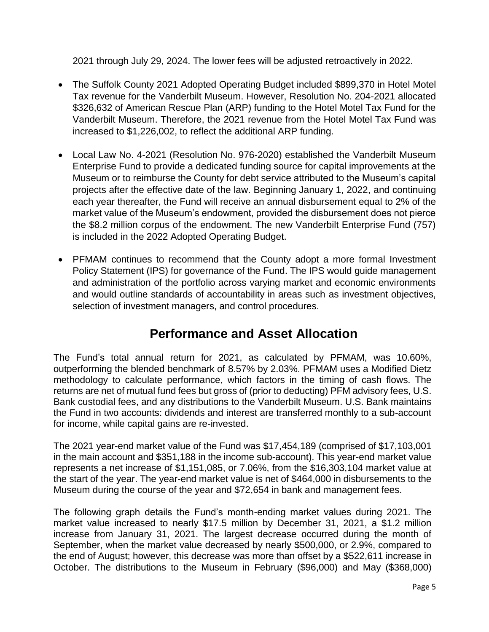<span id="page-4-0"></span>2021 through July 29, 2024. The lower fees will be adjusted retroactively in 2022.

- The Suffolk County 2021 Adopted Operating Budget included \$899,370 in Hotel Motel Tax revenue for the Vanderbilt Museum. However, Resolution No. 204-2021 allocated \$326,632 of American Rescue Plan (ARP) funding to the Hotel Motel Tax Fund for the Vanderbilt Museum. Therefore, the 2021 revenue from the Hotel Motel Tax Fund was increased to \$1,226,002, to reflect the additional ARP funding.
- Local Law No. 4-2021 (Resolution No. 976-2020) established the Vanderbilt Museum Enterprise Fund to provide a dedicated funding source for capital improvements at the Museum or to reimburse the County for debt service attributed to the Museum's capital projects after the effective date of the law. Beginning January 1, 2022, and continuing each year thereafter, the Fund will receive an annual disbursement equal to 2% of the market value of the Museum's endowment, provided the disbursement does not pierce the \$8.2 million corpus of the endowment. The new Vanderbilt Enterprise Fund (757) is included in the 2022 Adopted Operating Budget.
- PFMAM continues to recommend that the County adopt a more formal Investment Policy Statement (IPS) for governance of the Fund. The IPS would guide management and administration of the portfolio across varying market and economic environments and would outline standards of accountability in areas such as investment objectives, selection of investment managers, and control procedures.

## **Performance and Asset Allocation**

The Fund's total annual return for 2021, as calculated by PFMAM, was 10.60%, outperforming the blended benchmark of 8.57% by 2.03%. PFMAM uses a Modified Dietz methodology to calculate performance, which factors in the timing of cash flows. The returns are net of mutual fund fees but gross of (prior to deducting) PFM advisory fees, U.S. Bank custodial fees, and any distributions to the Vanderbilt Museum. U.S. Bank maintains the Fund in two accounts: dividends and interest are transferred monthly to a sub-account for income, while capital gains are re-invested.

The 2021 year-end market value of the Fund was \$17,454,189 (comprised of \$17,103,001 in the main account and \$351,188 in the income sub-account). This year-end market value represents a net increase of \$1,151,085, or 7.06%, from the \$16,303,104 market value at the start of the year. The year-end market value is net of \$464,000 in disbursements to the Museum during the course of the year and \$72,654 in bank and management fees.

The following graph details the Fund's month-ending market values during 2021. The market value increased to nearly \$17.5 million by December 31, 2021, a \$1.2 million increase from January 31, 2021. The largest decrease occurred during the month of September, when the market value decreased by nearly \$500,000, or 2.9%, compared to the end of August; however, this decrease was more than offset by a \$522,611 increase in October. The distributions to the Museum in February (\$96,000) and May (\$368,000)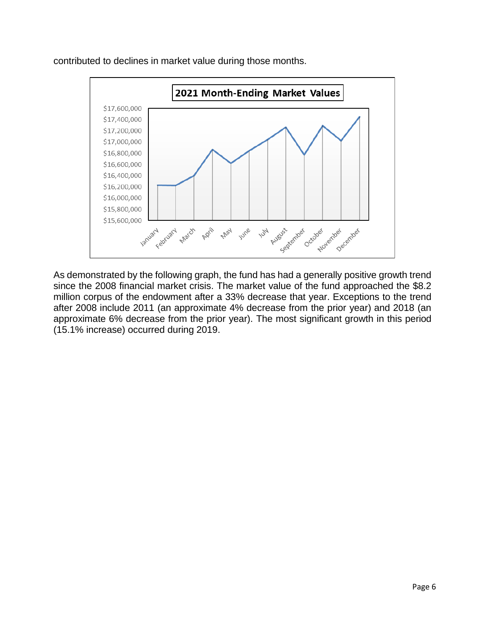

contributed to declines in market value during those months.

As demonstrated by the following graph, the fund has had a generally positive growth trend since the 2008 financial market crisis. The market value of the fund approached the \$8.2 million corpus of the endowment after a 33% decrease that year. Exceptions to the trend after 2008 include 2011 (an approximate 4% decrease from the prior year) and 2018 (an approximate 6% decrease from the prior year). The most significant growth in this period (15.1% increase) occurred during 2019.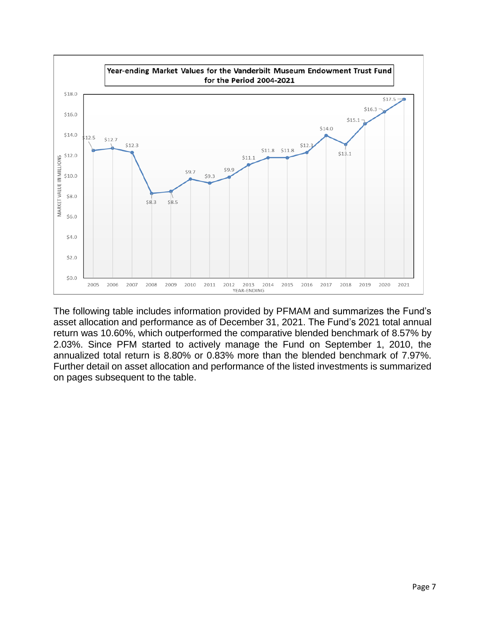

The following table includes information provided by PFMAM and summarizes the Fund's asset allocation and performance as of December 31, 2021. The Fund's 2021 total annual return was 10.60%, which outperformed the comparative blended benchmark of 8.57% by 2.03%. Since PFM started to actively manage the Fund on September 1, 2010, the annualized total return is 8.80% or 0.83% more than the blended benchmark of 7.97%. Further detail on asset allocation and performance of the listed investments is summarized on pages subsequent to the table.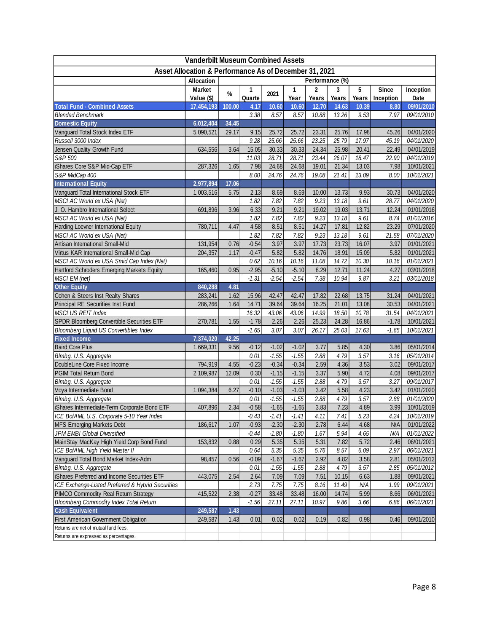| <b>Vanderbilt Museum Combined Assets</b>                                                  |               |                 |                    |                    |                    |              |       |              |              |                          |
|-------------------------------------------------------------------------------------------|---------------|-----------------|--------------------|--------------------|--------------------|--------------|-------|--------------|--------------|--------------------------|
| Asset Allocation & Performance As of December 31, 2021                                    |               |                 |                    |                    |                    |              |       |              |              |                          |
|                                                                                           | Allocation    | Performance (%) |                    |                    |                    |              |       |              |              |                          |
|                                                                                           | <b>Market</b> | $\%$            | 1                  | 2021               | 1                  | 2            | 3     | 5            | <b>Since</b> | Inception                |
|                                                                                           | Value (\$)    |                 | Quarte             |                    | Year               | Years        | Years | Years        | Inception    | Date                     |
| <b>Total Fund - Combined Assets</b>                                                       | 17,454,193    | 100.00          | 4.17               | 10.60              | 10.60              | 12.70        | 14.63 | 10.39        | 8.80         | 09/01/2010               |
| <b>Blended Benchmark</b>                                                                  |               |                 | 3.38               | 8.57               | 8.57               | 10.88        | 13.26 | 9.53         | 7.97         | 09/01/2010               |
| <b>Domestic Equity</b>                                                                    | 6,012,404     | 34.45           |                    |                    |                    |              |       |              |              |                          |
| Vanguard Total Stock Index ETF                                                            | 5,090,521     | 29.17           | 9.15               | 25.72              | 25.72              | 23.31        | 25.76 | 17.98        | 45.26        | 04/01/2020               |
| Russell 3000 Index                                                                        |               |                 | 9.28               | 25.66              | 25.66              | 23.25        | 25.79 | 17.97        | 45.19        | 04/01/2020               |
| Jensen Quality Growth Fund                                                                | 634,556       | 3.64            | 15.05              | 30.33              | 30.33              | 24.34        | 25.98 | 20.41        | 22.49        | 04/01/2019               |
| S&P 500                                                                                   |               |                 | 11.03              | 28.71              | 28.71              | 23.44        | 26.07 | 18.47        | 22.90        | 04/01/2019               |
| iShares Core S&P Mid-Cap ETF                                                              | 287,326       | 1.65            | 7.98               | 24.68              | 24.68              | 19.01        | 21.34 | 13.03        | 7.98         | 10/01/2021               |
| S&P MidCap 400                                                                            |               |                 | 8.00               | 24.76              | 24.76              | 19.08        | 21.41 | 13.09        | 8.00         | 10/01/2021               |
| <b>International Equity</b>                                                               | 2,977,894     | 17.06           |                    |                    |                    |              |       |              |              |                          |
| Vanguard Total International Stock ETF                                                    | 1,003,516     | 5.75            | 2.13               | 8.69               | 8.69               | 10.00        | 13.73 | 9.93         | 30.73        | 04/01/2020               |
| MSCI AC World ex USA (Net)                                                                |               |                 | 1.82               | 7.82               | 7.82               | 9.23         | 13.18 | 9.61         | 28.77        | 04/01/2020               |
| J. O. Hambro International Select                                                         | 691,896       | 3.96            | 6.33               | 9.21               | 9.21               | 19.02        | 19.03 | 13.71        | 12.24        | 01/01/2016               |
| MSCI AC World ex USA (Net)                                                                |               |                 | 1.82               | 7.82               | 7.82               | 9.23         | 13.18 | 9.61         | 8.74         | 01/01/2016               |
| Harding Loevner International Equity                                                      | 780,711       | 4.47            | 4.58               | 8.51               | 8.51               | 14.27        | 17.81 | 12.82        | 23.29        | 07/01/2020               |
| MSCI AC World ex USA (Net)                                                                |               |                 | 1.82               | 7.82               | 7.82               | 9.23         | 13.18 | 9.61         | 21.58        | 07/01/2020               |
| Artisan International Small-Mid                                                           | 131,954       | 0.76            | $-0.54$            | 3.97               | 3.97               | 17.73        | 23.73 | 16.07        | 3.97         | 01/01/2021               |
| Virtus KAR International Small-Mid Cap                                                    | 204,357       | 1.17            | $-0.47$            | 5.82               | 5.82               | 14.76        | 18.91 | 15.09        | 5.82         | 01/01/2021               |
| MSCI AC World ex USA Smid Cap Index (Net)                                                 |               |                 | 0.62               | 10.16              | 10.16              | 11.08        | 14.72 | 10.30        | 10.16        | 01/01/2021               |
| Hartford Schroders Emerging Markets Equity                                                | 165,460       | 0.95            | $-2.95$            | $-5.10$            | $-5.10$            | 8.29         | 12.71 | 11.24        | 4.27         | 03/01/2018               |
| MSCI EM (net)                                                                             |               |                 | $-1.31$            | $-2.54$            | $-2.54$            | 7.38         | 10.94 | 9.87         | 3.21         | 03/01/2018               |
| <b>Other Equity</b>                                                                       | 840,288       | 4.81            |                    |                    |                    |              |       |              |              |                          |
| Cohen & Steers Inst Realty Shares                                                         | 283,241       | 1.62            | 15.96              | 42.47              | 42.47              | 17.82        | 22.68 | 13.75        | 31.24        | 04/01/2021               |
| Principal RE Securities Inst Fund                                                         | 286,266       | 1.64            | 14.71              | 39.64              | 39.64              | 16.25        | 21.01 | 13.08        | 30.53        | 04/01/2021               |
| MSCI US REIT Index                                                                        |               |                 | 16.32              | 43.06              | 43.06              | 14.99        | 18.50 | 10.78        | 31.54        | 04/01/2021               |
| SPDR Bloomberg Convertible Securities ETF                                                 | 270,781       | 1.55            | $-1.78$            | 2.26               | 2.26               | 25.23        | 24.28 | 16.86        | $-1.78$      | 10/01/2021               |
| <b>Bloomberg Liquid US Convertibles Index</b>                                             |               |                 | $-1.65$            | 3.07               | 3.07               | 26.17        | 25.03 | 17.63        | $-1.65$      | 10/01/2021               |
| <b>Fixed Income</b>                                                                       | 7,374,020     | 42.25           |                    |                    |                    |              |       |              |              |                          |
| <b>Baird Core Plus</b>                                                                    | 1,669,331     | 9.56            | $-0.12$            | $-1.02$            | $-1.02$            | 3.77         | 5.85  | 4.30         | 3.86         | 05/01/2014               |
| Blmbg. U.S. Aggregate                                                                     |               |                 | 0.01               | $-1.55$            | $-1.55$            | 2.88         | 4.79  | 3.57         | 3.16         | 05/01/2014               |
| DoubleLine Core Fixed Income                                                              | 794,919       | 4.55            | $-0.23$            | $-0.34$            | $-0.34$            | 2.59         | 4.36  | 3.53         | 3.02         | 09/01/2017               |
| PGIM Total Return Bond                                                                    | 2,109,987     | 12.09           | 0.30               | $-1.15$            | $-1.15$            | 3.37         | 5.90  | 4.72         | 4.08         | 09/01/2017               |
| Blmbg. U.S. Aggregate                                                                     |               |                 | 0.01               | $-1.55$            | $-1.55$            | 2.88         | 4.79  | 3.57         | 3.27         | 09/01/2017               |
| Voya Intermediate Bond                                                                    | 1,094,384     | 6.27            | $-0.10$            | $-1.03$            | $-1.03$            | 3.42         | 5.58  | 4.23         | 3.42         | 01/01/2020               |
| Blmbg. U.S. Aggregate                                                                     |               |                 | 0.01               | $-1.55$            | $-1.55$            | 2.88         | 4.79  | 3.57         | 2.88         | 01/01/2020               |
|                                                                                           |               |                 |                    |                    |                    |              |       |              |              |                          |
| iShares Intermediate-Term Corporate Bond ETF<br>ICE BofAML U.S. Corporate 5-10 Year Index | 407,896       | 2.34            | $-0.58$<br>$-0.43$ | $-1.65$<br>$-1.41$ | $-1.65$            | 3.83<br>4.11 | 7.23  | 4.89<br>5.23 | 3.99<br>4.24 | 10/01/2019<br>10/01/2019 |
|                                                                                           |               | 1.07            | $-0.93$            | $-2.30$            | $-1.41$<br>$-2.30$ |              | 7.41  |              |              |                          |
| <b>MFS Emerging Markets Debt</b>                                                          | 186,617       |                 |                    |                    |                    | 2.78         | 6.44  | 4.68         | N/A          | 01/01/2022               |
| JPM EMBI Global Diversified                                                               |               |                 | $-0.44$            | $-1.80$            | $-1.80$            | 1.67         | 5.94  | 4.65         | N/A          | 01/01/2022               |
| MainStay MacKay High Yield Corp Bond Fund                                                 | 153,832       | 0.88            | 0.29               | 5.35               | 5.35               | 5.31         | 7.82  | 5.72         | 2.46         | 06/01/2021               |
| ICE BofAML High Yield Master II                                                           |               |                 | 0.64               | 5.35               | 5.35               | 5.76         | 8.57  | 6.09         | 2.97         | 06/01/2021               |
| Vanguard Total Bond Market Index-Adm                                                      | 98,457        | 0.56            | $-0.09$            | $-1.67$            | $-1.67$            | 2.92         | 4.82  | 3.58         | 2.81         | 05/01/2012               |
| Blmbg. U.S. Aggregate                                                                     |               |                 | 0.01               | $-1.55$            | $-1.55$            | 2.88         | 4.79  | 3.57         | 2.85         | 05/01/2012               |
| iShares Preferred and Income Securities ETF                                               | 443,075       | 2.54            | 2.64               | 7.09               | 7.09               | 7.51         | 10.15 | 6.63         | 1.88         | 09/01/2021               |
| ICE Exchange-Listed Preferred & Hybrid Securities                                         |               |                 | 2.73               | 7.75               | 7.75               | 8.16         | 11.49 | N/A          | 1.99         | 09/01/2021               |
| PIMCO Commodity Real Return Strategy                                                      | 415,522       | 2.38            | $-0.27$            | 33.48              | 33.48              | 16.00        | 14.74 | 5.99         | 8.66         | 06/01/2021               |
| <b>Bloomberg Commodity Index Total Return</b>                                             |               |                 | $-1.56$            | 27.11              | 27.11              | 10.97        | 9.86  | 3.66         | 6.86         | 06/01/2021               |
| <b>Cash Equivalent</b>                                                                    | 249,587       | 1.43            |                    |                    |                    |              |       |              |              |                          |
| <b>First American Government Obligation</b>                                               | 249,587       | 1.43            | 0.01               | 0.02               | 0.02               | 0.19         | 0.82  | 0.98         | 0.46         | 09/01/2010               |
| Returns are net of mutual fund fees.                                                      |               |                 |                    |                    |                    |              |       |              |              |                          |
| Returns are expressed as percentages.                                                     |               |                 |                    |                    |                    |              |       |              |              |                          |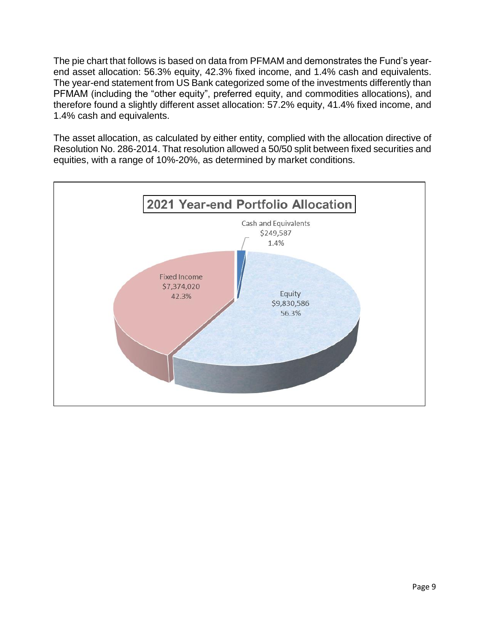The pie chart that follows is based on data from PFMAM and demonstrates the Fund's yearend asset allocation: 56.3% equity, 42.3% fixed income, and 1.4% cash and equivalents. The year-end statement from US Bank categorized some of the investments differently than PFMAM (including the "other equity", preferred equity, and commodities allocations), and therefore found a slightly different asset allocation: 57.2% equity, 41.4% fixed income, and 1.4% cash and equivalents.

The asset allocation, as calculated by either entity, complied with the allocation directive of Resolution No. 286-2014. That resolution allowed a 50/50 split between fixed securities and equities, with a range of 10%-20%, as determined by market conditions.

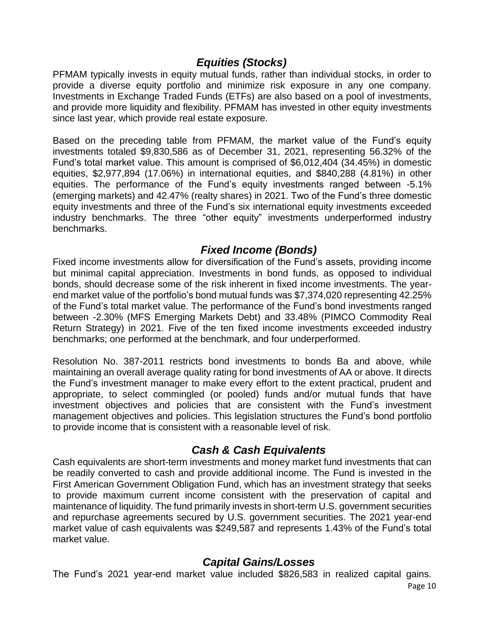#### *Equities (Stocks)*

<span id="page-9-0"></span>PFMAM typically invests in equity mutual funds, rather than individual stocks, in order to provide a diverse equity portfolio and minimize risk exposure in any one company. Investments in Exchange Traded Funds (ETFs) are also based on a pool of investments, and provide more liquidity and flexibility. PFMAM has invested in other equity investments since last year, which provide real estate exposure.

Based on the preceding table from PFMAM, the market value of the Fund's equity investments totaled \$9,830,586 as of December 31, 2021, representing 56.32% of the Fund's total market value. This amount is comprised of \$6,012,404 (34.45%) in domestic equities, \$2,977,894 (17.06%) in international equities, and \$840,288 (4.81%) in other equities. The performance of the Fund's equity investments ranged between -5.1% (emerging markets) and 42.47% (realty shares) in 2021. Two of the Fund's three domestic equity investments and three of the Fund's six international equity investments exceeded industry benchmarks. The three "other equity" investments underperformed industry benchmarks.

#### *Fixed Income (Bonds)*

<span id="page-9-1"></span>Fixed income investments allow for diversification of the Fund's assets, providing income but minimal capital appreciation. Investments in bond funds, as opposed to individual bonds, should decrease some of the risk inherent in fixed income investments. The yearend market value of the portfolio's bond mutual funds was \$7,374,020 representing 42.25% of the Fund's total market value. The performance of the Fund's bond investments ranged between -2.30% (MFS Emerging Markets Debt) and 33.48% (PIMCO Commodity Real Return Strategy) in 2021. Five of the ten fixed income investments exceeded industry benchmarks; one performed at the benchmark, and four underperformed.

Resolution No. 387-2011 restricts bond investments to bonds Ba and above, while maintaining an overall average quality rating for bond investments of AA or above. It directs the Fund's investment manager to make every effort to the extent practical, prudent and appropriate, to select commingled (or pooled) funds and/or mutual funds that have investment objectives and policies that are consistent with the Fund's investment management objectives and policies. This legislation structures the Fund's bond portfolio to provide income that is consistent with a reasonable level of risk.

#### *Cash & Cash Equivalents*

<span id="page-9-2"></span>Cash equivalents are short-term investments and money market fund investments that can be readily converted to cash and provide additional income. The Fund is invested in the First American Government Obligation Fund, which has an investment strategy that seeks to provide maximum current income consistent with the preservation of capital and maintenance of liquidity. The fund primarily invests in short-term U.S. government securities and repurchase agreements secured by U.S. government securities. The 2021 year-end market value of cash equivalents was \$249,587 and represents 1.43% of the Fund's total market value.

#### *Capital Gains/Losses*

<span id="page-9-3"></span>The Fund's 2021 year-end market value included \$826,583 in realized capital gains.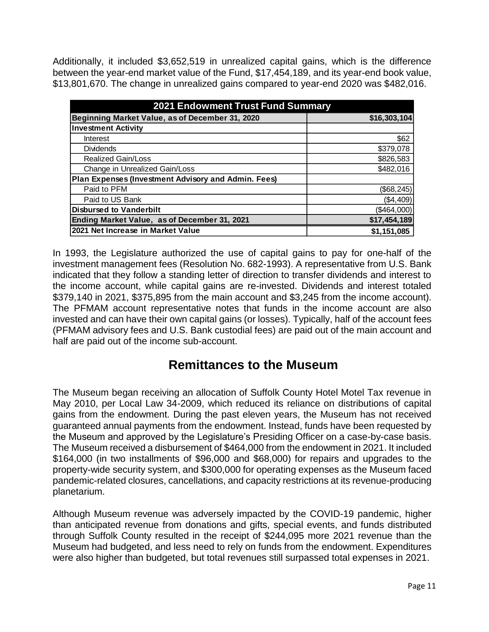Additionally, it included \$3,652,519 in unrealized capital gains, which is the difference between the year-end market value of the Fund, \$17,454,189, and its year-end book value, \$13,801,670. The change in unrealized gains compared to year-end 2020 was \$482,016.

| <b>2021 Endowment Trust Fund Summary</b>            |              |  |  |
|-----------------------------------------------------|--------------|--|--|
| Beginning Market Value, as of December 31, 2020     | \$16,303,104 |  |  |
| <b>Investment Activity</b>                          |              |  |  |
| Interest                                            | \$62         |  |  |
| <b>Dividends</b>                                    | \$379,078    |  |  |
| <b>Realized Gain/Loss</b>                           | \$826,583    |  |  |
| Change in Unrealized Gain/Loss                      | \$482,016    |  |  |
| Plan Expenses (Investment Advisory and Admin. Fees) |              |  |  |
| Paid to PFM                                         | (\$68,245)   |  |  |
| Paid to US Bank                                     | (\$4,409)    |  |  |
| <b>Disbursed to Vanderbilt</b>                      | (\$464,000)  |  |  |
| Ending Market Value, as of December 31, 2021        | \$17,454,189 |  |  |
| 2021 Net Increase in Market Value                   | \$1,151,085  |  |  |

In 1993, the Legislature authorized the use of capital gains to pay for one-half of the investment management fees (Resolution No. 682-1993). A representative from U.S. Bank indicated that they follow a standing letter of direction to transfer dividends and interest to the income account, while capital gains are re-invested. Dividends and interest totaled \$379,140 in 2021, \$375,895 from the main account and \$3,245 from the income account). The PFMAM account representative notes that funds in the income account are also invested and can have their own capital gains (or losses). Typically, half of the account fees (PFMAM advisory fees and U.S. Bank custodial fees) are paid out of the main account and half are paid out of the income sub-account.

## **Remittances to the Museum**

<span id="page-10-0"></span>The Museum began receiving an allocation of Suffolk County Hotel Motel Tax revenue in May 2010, per Local Law 34-2009, which reduced its reliance on distributions of capital gains from the endowment. During the past eleven years, the Museum has not received guaranteed annual payments from the endowment. Instead, funds have been requested by the Museum and approved by the Legislature's Presiding Officer on a case-by-case basis. The Museum received a disbursement of \$464,000 from the endowment in 2021. It included \$164,000 (in two installments of \$96,000 and \$68,000) for repairs and upgrades to the property-wide security system, and \$300,000 for operating expenses as the Museum faced pandemic-related closures, cancellations, and capacity restrictions at its revenue-producing planetarium.

Although Museum revenue was adversely impacted by the COVID-19 pandemic, higher than anticipated revenue from donations and gifts, special events, and funds distributed through Suffolk County resulted in the receipt of \$244,095 more 2021 revenue than the Museum had budgeted, and less need to rely on funds from the endowment. Expenditures were also higher than budgeted, but total revenues still surpassed total expenses in 2021.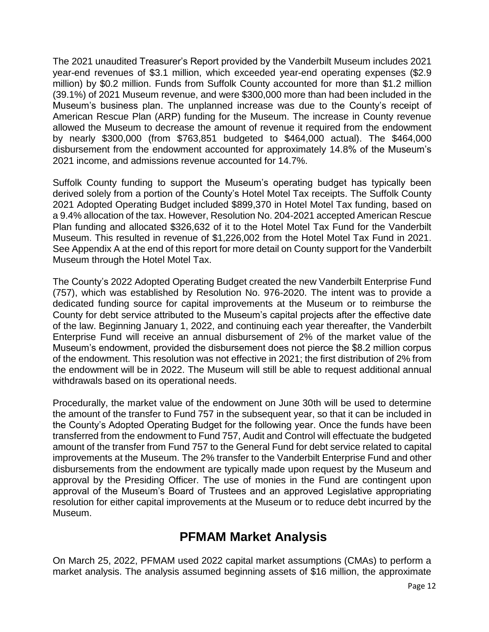The 2021 unaudited Treasurer's Report provided by the Vanderbilt Museum includes 2021 year-end revenues of \$3.1 million, which exceeded year-end operating expenses (\$2.9 million) by \$0.2 million. Funds from Suffolk County accounted for more than \$1.2 million (39.1%) of 2021 Museum revenue, and were \$300,000 more than had been included in the Museum's business plan. The unplanned increase was due to the County's receipt of American Rescue Plan (ARP) funding for the Museum. The increase in County revenue allowed the Museum to decrease the amount of revenue it required from the endowment by nearly \$300,000 (from \$763,851 budgeted to \$464,000 actual). The \$464,000 disbursement from the endowment accounted for approximately 14.8% of the Museum's 2021 income, and admissions revenue accounted for 14.7%.

Suffolk County funding to support the Museum's operating budget has typically been derived solely from a portion of the County's Hotel Motel Tax receipts. The Suffolk County 2021 Adopted Operating Budget included \$899,370 in Hotel Motel Tax funding, based on a 9.4% allocation of the tax. However, Resolution No. 204-2021 accepted American Rescue Plan funding and allocated \$326,632 of it to the Hotel Motel Tax Fund for the Vanderbilt Museum. This resulted in revenue of \$1,226,002 from the Hotel Motel Tax Fund in 2021. See Appendix A at the end of this report for more detail on County support for the Vanderbilt Museum through the Hotel Motel Tax.

The County's 2022 Adopted Operating Budget created the new Vanderbilt Enterprise Fund (757), which was established by Resolution No. 976-2020. The intent was to provide a dedicated funding source for capital improvements at the Museum or to reimburse the County for debt service attributed to the Museum's capital projects after the effective date of the law. Beginning January 1, 2022, and continuing each year thereafter, the Vanderbilt Enterprise Fund will receive an annual disbursement of 2% of the market value of the Museum's endowment, provided the disbursement does not pierce the \$8.2 million corpus of the endowment. This resolution was not effective in 2021; the first distribution of 2% from the endowment will be in 2022. The Museum will still be able to request additional annual withdrawals based on its operational needs.

Procedurally, the market value of the endowment on June 30th will be used to determine the amount of the transfer to Fund 757 in the subsequent year, so that it can be included in the County's Adopted Operating Budget for the following year. Once the funds have been transferred from the endowment to Fund 757, Audit and Control will effectuate the budgeted amount of the transfer from Fund 757 to the General Fund for debt service related to capital improvements at the Museum. The 2% transfer to the Vanderbilt Enterprise Fund and other disbursements from the endowment are typically made upon request by the Museum and approval by the Presiding Officer. The use of monies in the Fund are contingent upon approval of the Museum's Board of Trustees and an approved Legislative appropriating resolution for either capital improvements at the Museum or to reduce debt incurred by the Museum.

## **PFMAM Market Analysis**

<span id="page-11-0"></span>On March 25, 2022, PFMAM used 2022 capital market assumptions (CMAs) to perform a market analysis. The analysis assumed beginning assets of \$16 million, the approximate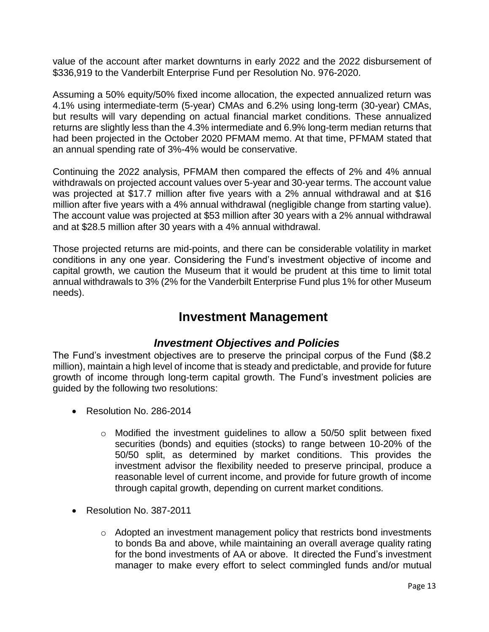value of the account after market downturns in early 2022 and the 2022 disbursement of \$336,919 to the Vanderbilt Enterprise Fund per Resolution No. 976-2020.

Assuming a 50% equity/50% fixed income allocation, the expected annualized return was 4.1% using intermediate-term (5-year) CMAs and 6.2% using long-term (30-year) CMAs, but results will vary depending on actual financial market conditions. These annualized returns are slightly less than the 4.3% intermediate and 6.9% long-term median returns that had been projected in the October 2020 PFMAM memo. At that time, PFMAM stated that an annual spending rate of 3%-4% would be conservative.

Continuing the 2022 analysis, PFMAM then compared the effects of 2% and 4% annual withdrawals on projected account values over 5-year and 30-year terms. The account value was projected at \$17.7 million after five years with a 2% annual withdrawal and at \$16 million after five years with a 4% annual withdrawal (negligible change from starting value). The account value was projected at \$53 million after 30 years with a 2% annual withdrawal and at \$28.5 million after 30 years with a 4% annual withdrawal.

Those projected returns are mid-points, and there can be considerable volatility in market conditions in any one year. Considering the Fund's investment objective of income and capital growth, we caution the Museum that it would be prudent at this time to limit total annual withdrawals to 3% (2% for the Vanderbilt Enterprise Fund plus 1% for other Museum needs).

## **Investment Management**

#### *Investment Objectives and Policies*

<span id="page-12-1"></span><span id="page-12-0"></span>The Fund's investment objectives are to preserve the principal corpus of the Fund (\$8.2 million), maintain a high level of income that is steady and predictable, and provide for future growth of income through long-term capital growth. The Fund's investment policies are guided by the following two resolutions:

- Resolution No. 286-2014
	- $\circ$  Modified the investment quidelines to allow a 50/50 split between fixed securities (bonds) and equities (stocks) to range between 10-20% of the 50/50 split, as determined by market conditions. This provides the investment advisor the flexibility needed to preserve principal, produce a reasonable level of current income, and provide for future growth of income through capital growth, depending on current market conditions.
- Resolution No. 387-2011
	- $\circ$  Adopted an investment management policy that restricts bond investments to bonds Ba and above, while maintaining an overall average quality rating for the bond investments of AA or above. It directed the Fund's investment manager to make every effort to select commingled funds and/or mutual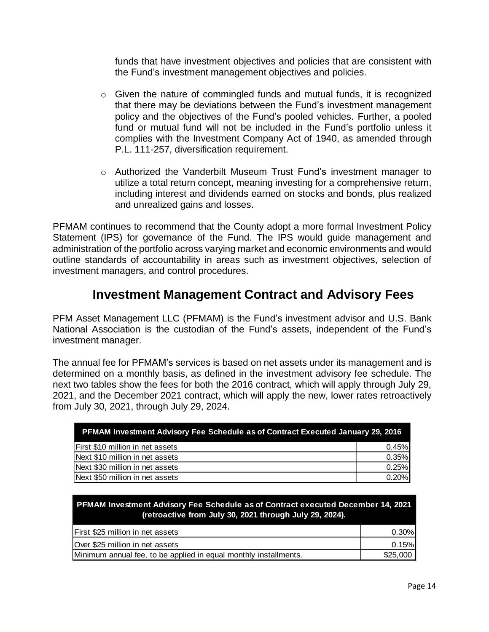funds that have investment objectives and policies that are consistent with the Fund's investment management objectives and policies.

- $\circ$  Given the nature of commingled funds and mutual funds, it is recognized that there may be deviations between the Fund's investment management policy and the objectives of the Fund's pooled vehicles. Further, a pooled fund or mutual fund will not be included in the Fund's portfolio unless it complies with the Investment Company Act of 1940, as amended through P.L. 111-257, diversification requirement.
- o Authorized the Vanderbilt Museum Trust Fund's investment manager to utilize a total return concept, meaning investing for a comprehensive return, including interest and dividends earned on stocks and bonds, plus realized and unrealized gains and losses.

PFMAM continues to recommend that the County adopt a more formal Investment Policy Statement (IPS) for governance of the Fund. The IPS would guide management and administration of the portfolio across varying market and economic environments and would outline standards of accountability in areas such as investment objectives, selection of investment managers, and control procedures.

## **Investment Management Contract and Advisory Fees**

<span id="page-13-0"></span>PFM Asset Management LLC (PFMAM) is the Fund's investment advisor and U.S. Bank National Association is the custodian of the Fund's assets, independent of the Fund's investment manager.

The annual fee for PFMAM's services is based on net assets under its management and is determined on a monthly basis, as defined in the investment advisory fee schedule. The next two tables show the fees for both the 2016 contract, which will apply through July 29, 2021, and the December 2021 contract, which will apply the new, lower rates retroactively from July 30, 2021, through July 29, 2024.

| <b>PFMAM Investment Advisory Fee Schedule as of Contract Executed January 29, 2016</b> |       |  |  |
|----------------------------------------------------------------------------------------|-------|--|--|
| First \$10 million in net assets                                                       | 0.45% |  |  |
| Next \$10 million in net assets                                                        | 0.35% |  |  |
| Next \$30 million in net assets                                                        | 0.25% |  |  |
| Next \$50 million in net assets                                                        | 0.20% |  |  |

**PFMAM Investment Advisory Fee Schedule as of Contract executed December 14, 2021 (retroactive from July 30, 2021 through July 29, 2024).** 

| <b>IFirst \$25 million in net assets</b>                         | $0.30\%$ |
|------------------------------------------------------------------|----------|
| Over \$25 million in net assets                                  | 0.15%    |
| Minimum annual fee, to be applied in equal monthly installments. | \$25,000 |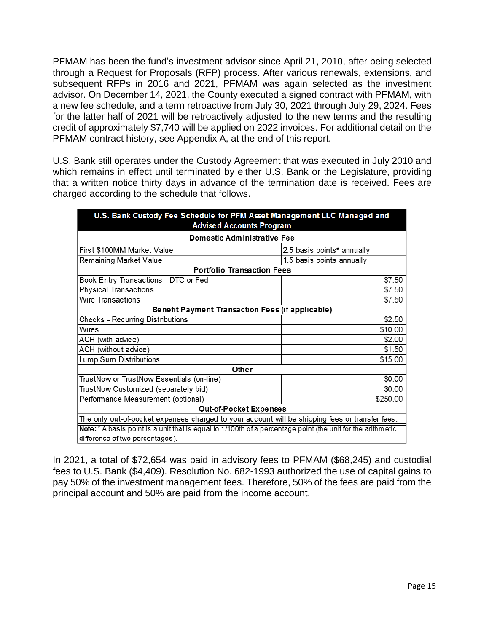PFMAM has been the fund's investment advisor since April 21, 2010, after being selected through a Request for Proposals (RFP) process. After various renewals, extensions, and subsequent RFPs in 2016 and 2021, PFMAM was again selected as the investment advisor. On December 14, 2021, the County executed a signed contract with PFMAM, with a new fee schedule, and a term retroactive from July 30, 2021 through July 29, 2024. Fees for the latter half of 2021 will be retroactively adjusted to the new terms and the resulting credit of approximately \$7,740 will be applied on 2022 invoices. For additional detail on the PFMAM contract history, see Appendix A, at the end of this report.

U.S. Bank still operates under the Custody Agreement that was executed in July 2010 and which remains in effect until terminated by either U.S. Bank or the Legislature, providing that a written notice thirty days in advance of the termination date is received. Fees are charged according to the schedule that follows.

| U.S. Bank Custody Fee Schedule for PFM Asset Management LLC Managed and<br><b>Advised Accounts Program</b> |                            |  |  |  |  |
|------------------------------------------------------------------------------------------------------------|----------------------------|--|--|--|--|
| <b>Domestic Administrative Fee</b>                                                                         |                            |  |  |  |  |
| First \$100MM Market Value                                                                                 | 2.5 basis points* annually |  |  |  |  |
| Remaining Market Value<br>1.5 basis points annually                                                        |                            |  |  |  |  |
| <b>Portfolio Transaction Fees</b>                                                                          |                            |  |  |  |  |
| Book Entry Transactions - DTC or Fed                                                                       | \$7.50                     |  |  |  |  |
| <b>Physical Transactions</b>                                                                               | \$7.50                     |  |  |  |  |
| Wire Transactions                                                                                          | \$7.50                     |  |  |  |  |
| Benefit Payment Transaction Fees (if applicable)                                                           |                            |  |  |  |  |
| Checks - Recurring Distributions                                                                           | \$2.50                     |  |  |  |  |
| Wires                                                                                                      | \$10.00                    |  |  |  |  |
| ACH (with advice)                                                                                          | \$2.00                     |  |  |  |  |
| ACH (without advice)                                                                                       | \$1.50                     |  |  |  |  |
| Lump Sum Distributions<br>\$15.00                                                                          |                            |  |  |  |  |
| Other                                                                                                      |                            |  |  |  |  |
| TrustNow or TrustNow Essentials (on-line)                                                                  | \$0.00                     |  |  |  |  |
| TrustNow Customized (separately bid)                                                                       | \$0.00                     |  |  |  |  |
| Performance Measurement (optional)<br>\$250.00                                                             |                            |  |  |  |  |
| Out-of-Pocket Expenses                                                                                     |                            |  |  |  |  |
| The only out-of-pocket expenses charged to your account will be shipping fees or transfer fees.            |                            |  |  |  |  |
| Note:* A basis point is a unit that is equal to 1/100th of a percentage point (the unit for the arithmetic |                            |  |  |  |  |
| difference of two percentages).                                                                            |                            |  |  |  |  |

In 2021, a total of \$72,654 was paid in advisory fees to PFMAM (\$68,245) and custodial fees to U.S. Bank (\$4,409). Resolution No. 682-1993 authorized the use of capital gains to pay 50% of the investment management fees. Therefore, 50% of the fees are paid from the principal account and 50% are paid from the income account.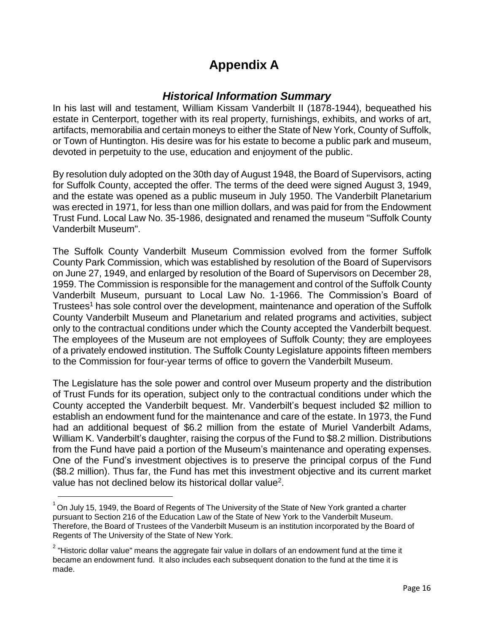## **Appendix A**

#### *Historical Information Summary*

<span id="page-15-1"></span><span id="page-15-0"></span>In his last will and testament, William Kissam Vanderbilt II (1878-1944), bequeathed his estate in Centerport, together with its real property, furnishings, exhibits, and works of art, artifacts, memorabilia and certain moneys to either the State of New York, County of Suffolk, or Town of Huntington. His desire was for his estate to become a public park and museum, devoted in perpetuity to the use, education and enjoyment of the public.

By resolution duly adopted on the 30th day of August 1948, the Board of Supervisors, acting for Suffolk County, accepted the offer. The terms of the deed were signed August 3, 1949, and the estate was opened as a public museum in July 1950. The Vanderbilt Planetarium was erected in 1971, for less than one million dollars, and was paid for from the Endowment Trust Fund. Local Law No. 35-1986, designated and renamed the museum "Suffolk County Vanderbilt Museum".

The Suffolk County Vanderbilt Museum Commission evolved from the former Suffolk County Park Commission, which was established by resolution of the Board of Supervisors on June 27, 1949, and enlarged by resolution of the Board of Supervisors on December 28, 1959. The Commission is responsible for the management and control of the Suffolk County Vanderbilt Museum, pursuant to Local Law No. 1-1966. The Commission's Board of Trustees<sup>[1](#page-15-2)</sup> has sole control over the development, maintenance and operation of the Suffolk County Vanderbilt Museum and Planetarium and related programs and activities, subject only to the contractual conditions under which the County accepted the Vanderbilt bequest. The employees of the Museum are not employees of Suffolk County; they are employees of a privately endowed institution. The Suffolk County Legislature appoints fifteen members to the Commission for four-year terms of office to govern the Vanderbilt Museum.

The Legislature has the sole power and control over Museum property and the distribution of Trust Funds for its operation, subject only to the contractual conditions under which the County accepted the Vanderbilt bequest. Mr. Vanderbilt's bequest included \$2 million to establish an endowment fund for the maintenance and care of the estate. In 1973, the Fund had an additional bequest of \$6.2 million from the estate of Muriel Vanderbilt Adams, William K. Vanderbilt's daughter, raising the corpus of the Fund to \$8.2 million. Distributions from the Fund have paid a portion of the Museum's maintenance and operating expenses. One of the Fund's investment objectives is to preserve the principal corpus of the Fund (\$8.2 million). Thus far, the Fund has met this investment objective and its current market value has not declined below its historical dollar value<sup>2</sup>.

<span id="page-15-2"></span> $^{1}$  On July 15, 1949, the Board of Regents of The University of the State of New York granted a charter pursuant to Section 216 of the Education Law of the State of New York to the Vanderbilt Museum. Therefore, the Board of Trustees of the Vanderbilt Museum is an institution incorporated by the Board of Regents of The University of the State of New York.

 $^{\text{2}}$  "Historic dollar value" means the aggregate fair value in dollars of an endowment fund at the time it became an endowment fund. It also includes each subsequent donation to the fund at the time it is made.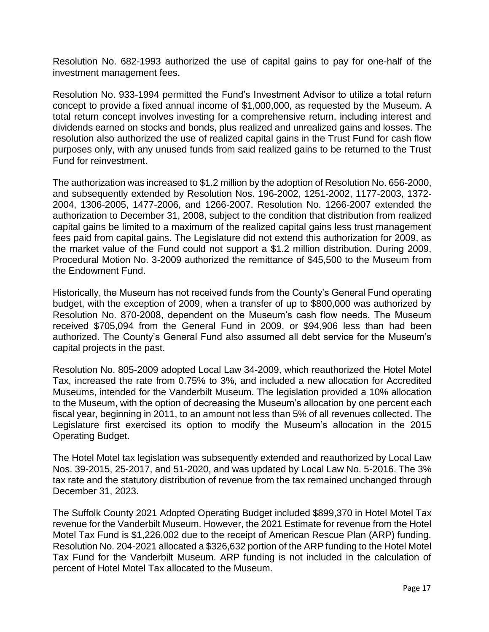Resolution No. 682-1993 authorized the use of capital gains to pay for one-half of the investment management fees.

Resolution No. 933-1994 permitted the Fund's Investment Advisor to utilize a total return concept to provide a fixed annual income of \$1,000,000, as requested by the Museum. A total return concept involves investing for a comprehensive return, including interest and dividends earned on stocks and bonds, plus realized and unrealized gains and losses. The resolution also authorized the use of realized capital gains in the Trust Fund for cash flow purposes only, with any unused funds from said realized gains to be returned to the Trust Fund for reinvestment.

The authorization was increased to \$1.2 million by the adoption of Resolution No. 656-2000, and subsequently extended by Resolution Nos. 196-2002, 1251-2002, 1177-2003, 1372- 2004, 1306-2005, 1477-2006, and 1266-2007. Resolution No. 1266-2007 extended the authorization to December 31, 2008, subject to the condition that distribution from realized capital gains be limited to a maximum of the realized capital gains less trust management fees paid from capital gains. The Legislature did not extend this authorization for 2009, as the market value of the Fund could not support a \$1.2 million distribution. During 2009, Procedural Motion No. 3-2009 authorized the remittance of \$45,500 to the Museum from the Endowment Fund.

Historically, the Museum has not received funds from the County's General Fund operating budget, with the exception of 2009, when a transfer of up to \$800,000 was authorized by Resolution No. 870-2008, dependent on the Museum's cash flow needs. The Museum received \$705,094 from the General Fund in 2009, or \$94,906 less than had been authorized. The County's General Fund also assumed all debt service for the Museum's capital projects in the past.

Resolution No. 805-2009 adopted Local Law 34-2009, which reauthorized the Hotel Motel Tax, increased the rate from 0.75% to 3%, and included a new allocation for Accredited Museums, intended for the Vanderbilt Museum. The legislation provided a 10% allocation to the Museum, with the option of decreasing the Museum's allocation by one percent each fiscal year, beginning in 2011, to an amount not less than 5% of all revenues collected. The Legislature first exercised its option to modify the Museum's allocation in the 2015 Operating Budget.

The Hotel Motel tax legislation was subsequently extended and reauthorized by Local Law Nos. 39-2015, 25-2017, and 51-2020, and was updated by Local Law No. 5-2016. The 3% tax rate and the statutory distribution of revenue from the tax remained unchanged through December 31, 2023.

The Suffolk County 2021 Adopted Operating Budget included \$899,370 in Hotel Motel Tax revenue for the Vanderbilt Museum. However, the 2021 Estimate for revenue from the Hotel Motel Tax Fund is \$1,226,002 due to the receipt of American Rescue Plan (ARP) funding. Resolution No. 204-2021 allocated a \$326,632 portion of the ARP funding to the Hotel Motel Tax Fund for the Vanderbilt Museum. ARP funding is not included in the calculation of percent of Hotel Motel Tax allocated to the Museum.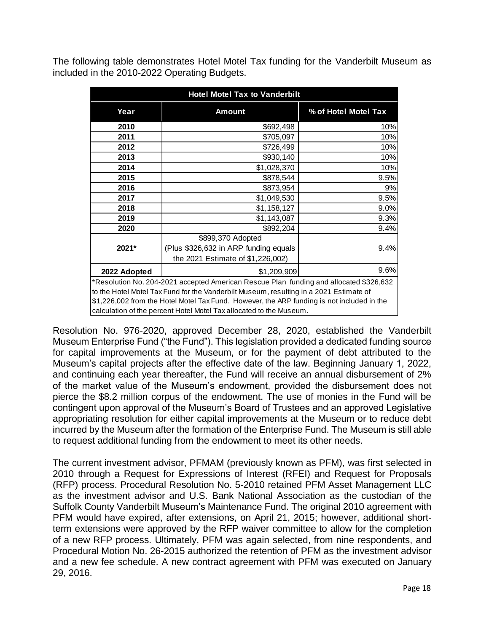The following table demonstrates Hotel Motel Tax funding for the Vanderbilt Museum as included in the 2010-2022 Operating Budgets.

| <b>Hotel Motel Tax to Vanderbilt</b>                                                       |                                       |                      |  |  |
|--------------------------------------------------------------------------------------------|---------------------------------------|----------------------|--|--|
| Year                                                                                       | <b>Amount</b>                         | % of Hotel Motel Tax |  |  |
| 2010                                                                                       | \$692,498                             | 10%                  |  |  |
| 2011                                                                                       | \$705,097                             | 10%                  |  |  |
| 2012                                                                                       | \$726,499                             | 10%                  |  |  |
| 2013                                                                                       | \$930,140                             | 10%                  |  |  |
| 2014                                                                                       | \$1,028,370                           | 10%                  |  |  |
| 2015                                                                                       | \$878,544                             | 9.5%                 |  |  |
| 2016                                                                                       | \$873,954                             | 9%                   |  |  |
| 2017                                                                                       | \$1,049,530                           | 9.5%                 |  |  |
| 2018                                                                                       | \$1,158,127                           | 9.0%                 |  |  |
| 2019                                                                                       | \$1,143,087                           | 9.3%                 |  |  |
| 2020                                                                                       | \$892,204                             | 9.4%                 |  |  |
|                                                                                            | \$899,370 Adopted                     |                      |  |  |
| 2021*                                                                                      | (Plus \$326,632 in ARP funding equals | 9.4%                 |  |  |
|                                                                                            | the 2021 Estimate of \$1,226,002)     |                      |  |  |
| 2022 Adopted                                                                               | \$1,209,909                           | 9.6%                 |  |  |
| *Resolution No. 204-2021 accepted American Rescue Plan funding and allocated \$326,632     |                                       |                      |  |  |
| to the Hotel Motel Tax Fund for the Vanderbilt Museum, resulting in a 2021 Estimate of     |                                       |                      |  |  |
| \$1,226,002 from the Hotel Motel Tax Fund. However, the ARP funding is not included in the |                                       |                      |  |  |
| calculation of the percent Hotel Motel Tax allocated to the Museum.                        |                                       |                      |  |  |

Resolution No. 976-2020, approved December 28, 2020, established the Vanderbilt Museum Enterprise Fund ("the Fund"). This legislation provided a dedicated funding source for capital improvements at the Museum, or for the payment of debt attributed to the Museum's capital projects after the effective date of the law. Beginning January 1, 2022, and continuing each year thereafter, the Fund will receive an annual disbursement of 2% of the market value of the Museum's endowment, provided the disbursement does not pierce the \$8.2 million corpus of the endowment. The use of monies in the Fund will be contingent upon approval of the Museum's Board of Trustees and an approved Legislative appropriating resolution for either capital improvements at the Museum or to reduce debt incurred by the Museum after the formation of the Enterprise Fund. The Museum is still able to request additional funding from the endowment to meet its other needs.

The current investment advisor, PFMAM (previously known as PFM), was first selected in 2010 through a Request for Expressions of Interest (RFEI) and Request for Proposals (RFP) process. Procedural Resolution No. 5-2010 retained PFM Asset Management LLC as the investment advisor and U.S. Bank National Association as the custodian of the Suffolk County Vanderbilt Museum's Maintenance Fund. The original 2010 agreement with PFM would have expired, after extensions, on April 21, 2015; however, additional shortterm extensions were approved by the RFP waiver committee to allow for the completion of a new RFP process. Ultimately, PFM was again selected, from nine respondents, and Procedural Motion No. 26-2015 authorized the retention of PFM as the investment advisor and a new fee schedule. A new contract agreement with PFM was executed on January 29, 2016.